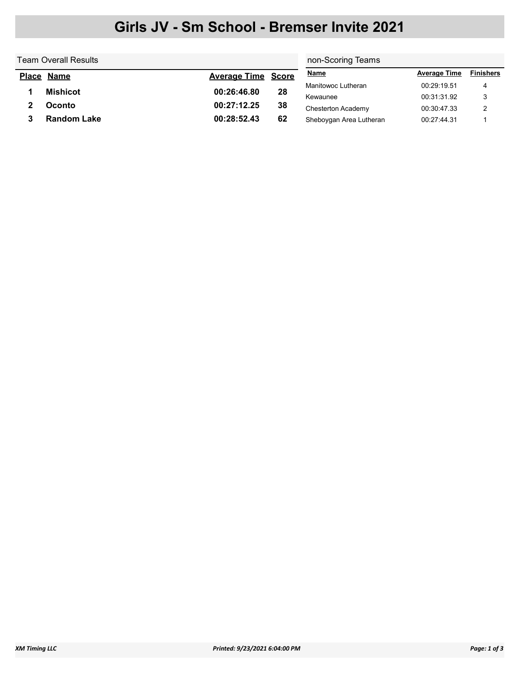## Girls JV - Sm School - Bremser Invite 2021

| Team Overall Results |                    |                           |    | non-Scoring Teams       |                     |                  |  |
|----------------------|--------------------|---------------------------|----|-------------------------|---------------------|------------------|--|
| <b>Place</b>         | <u>Name</u>        | <b>Average Time Score</b> |    | <b>Name</b>             | <b>Average Time</b> | <b>Finishers</b> |  |
|                      |                    | 00:26:46.80               |    | Manitowoc Lutheran      | 00:29:19.51         | 4                |  |
|                      | <b>Mishicot</b>    |                           | 28 | Kewaunee                | 00:31:31.92         | 3                |  |
|                      | Oconto             | 00:27:12.25               | 38 | Chesterton Academy      | 00:30:47.33         |                  |  |
|                      | <b>Random Lake</b> | 00:28:52.43               | 62 | Sheboygan Area Lutheran | 00:27:44.31         |                  |  |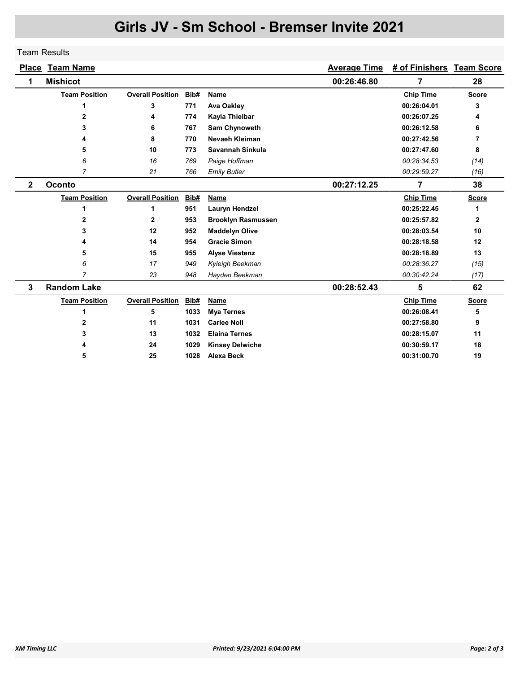## Girls JV - Sm School - Bremser Invite 2021

## Team Results

|                         | <b>Place Team Name</b> |                         |      |                           | <b>Average Time</b> | # of Finishers Team Score |              |
|-------------------------|------------------------|-------------------------|------|---------------------------|---------------------|---------------------------|--------------|
| 1                       | <b>Mishicot</b>        |                         |      |                           | 00:26:46.80         | 7                         | 28           |
|                         | <b>Team Position</b>   | <b>Overall Position</b> | Bib# | Name                      |                     | <b>Chip Time</b>          | <b>Score</b> |
|                         | 1                      | 3                       | 771  | <b>Ava Oakley</b>         |                     | 00:26:04.01               | 3            |
|                         | $\mathbf{2}$           | 4                       | 774  | Kayla Thielbar            |                     | 00:26:07.25               | 4            |
|                         | 3                      | 6                       | 767  | Sam Chynoweth             |                     | 00:26:12.58               | 6            |
|                         | 4                      | 8                       | 770  | Nevaeh Kleiman            |                     | 00:27:42.56               | 7            |
|                         | 5                      | 10                      | 773  | Savannah Sinkula          |                     | 00:27:47.60               | 8            |
|                         | 6                      | 16                      | 769  | Paige Hoffman             |                     | 00:28:34.53               | (14)         |
|                         | $\overline{7}$         | 21                      | 766  | <b>Emily Butler</b>       |                     | 00:29:59.27               | (16)         |
| $\overline{\mathbf{2}}$ | Oconto                 |                         |      |                           | 00:27:12.25         | $\overline{7}$            | 38           |
|                         | <b>Team Position</b>   | <b>Overall Position</b> | Bib# | Name                      |                     | <b>Chip Time</b>          | <b>Score</b> |
|                         | 1                      | 1                       | 951  | Lauryn Hendzel            |                     | 00:25:22.45               | 1            |
|                         | $\mathbf{2}$           | $\mathbf{2}$            | 953  | <b>Brooklyn Rasmussen</b> |                     | 00:25:57.82               | $\mathbf{2}$ |
|                         | 3                      | 12                      | 952  | <b>Maddelyn Olive</b>     |                     | 00:28:03.54               | 10           |
|                         | 4                      | 14                      | 954  | <b>Gracie Simon</b>       |                     | 00:28:18.58               | 12           |
|                         | 5                      | 15                      | 955  | <b>Alyse Viestenz</b>     |                     | 00:28:18.89               | 13           |
|                         | 6                      | 17                      | 949  | Kyleigh Beekman           |                     | 00:28:36.27               | (15)         |
|                         | 7                      | 23                      | 948  | Hayden Beekman            |                     | 00:30:42.24               | (17)         |
| 3                       | <b>Random Lake</b>     |                         |      |                           | 00:28:52.43         | 5                         | 62           |
|                         | <b>Team Position</b>   | <b>Overall Position</b> | Bib# | Name                      |                     | <b>Chip Time</b>          | <b>Score</b> |
|                         | 1                      | 5                       | 1033 | <b>Mya Ternes</b>         |                     | 00:26:08.41               | 5            |
|                         | 2                      | 11                      | 1031 | <b>Carlee Noll</b>        |                     | 00:27:58.80               | 9            |
|                         | 3                      | 13                      | 1032 | <b>Elaina Ternes</b>      |                     | 00:28:15.07               | 11           |
|                         |                        | 24                      | 1029 | <b>Kinsey Delwiche</b>    |                     | 00:30:59.17               | 18           |
|                         | 5                      | 25                      | 1028 | <b>Alexa Beck</b>         |                     | 00:31:00.70               | 19           |